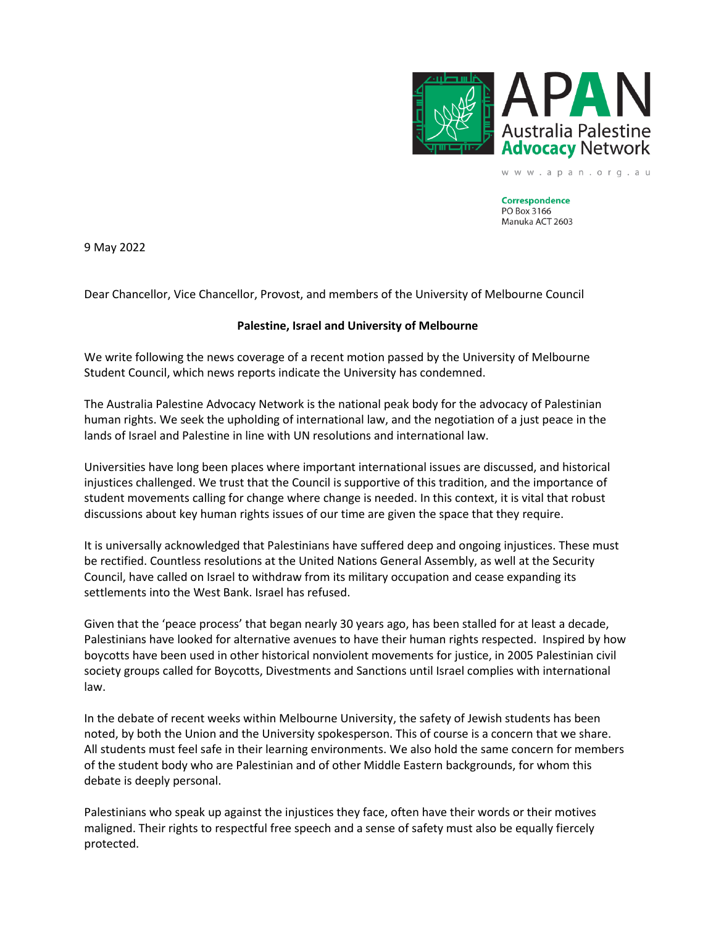

www.apan.org.au

**Correspondence** PO Box 3166 Manuka ACT 2603

9 May 2022

Dear Chancellor, Vice Chancellor, Provost, and members of the University of Melbourne Council

## **Palestine, Israel and University of Melbourne**

We write following the news coverage of a recent motion passed by the University of Melbourne Student Council, which news reports indicate the University has condemned.

The Australia Palestine Advocacy Network is the national peak body for the advocacy of Palestinian human rights. We seek the upholding of international law, and the negotiation of a just peace in the lands of Israel and Palestine in line with UN resolutions and international law.

Universities have long been places where important international issues are discussed, and historical injustices challenged. We trust that the Council is supportive of this tradition, and the importance of student movements calling for change where change is needed. In this context, it is vital that robust discussions about key human rights issues of our time are given the space that they require.

It is universally acknowledged that Palestinians have suffered deep and ongoing injustices. These must be rectified. Countless resolutions at the United Nations General Assembly, as well at the Security Council, have called on Israel to withdraw from its military occupation and cease expanding its settlements into the West Bank. Israel has refused.

Given that the 'peace process' that began nearly 30 years ago, has been stalled for at least a decade, Palestinians have looked for alternative avenues to have their human rights respected. Inspired by how boycotts have been used in other historical nonviolent movements for justice, in 2005 Palestinian civil society groups called for Boycotts, Divestments and Sanctions until Israel complies with international law.

In the debate of recent weeks within Melbourne University, the safety of Jewish students has been noted, by both the Union and the University spokesperson. This of course is a concern that we share. All students must feel safe in their learning environments. We also hold the same concern for members of the student body who are Palestinian and of other Middle Eastern backgrounds, for whom this debate is deeply personal.

Palestinians who speak up against the injustices they face, often have their words or their motives maligned. Their rights to respectful free speech and a sense of safety must also be equally fiercely protected.